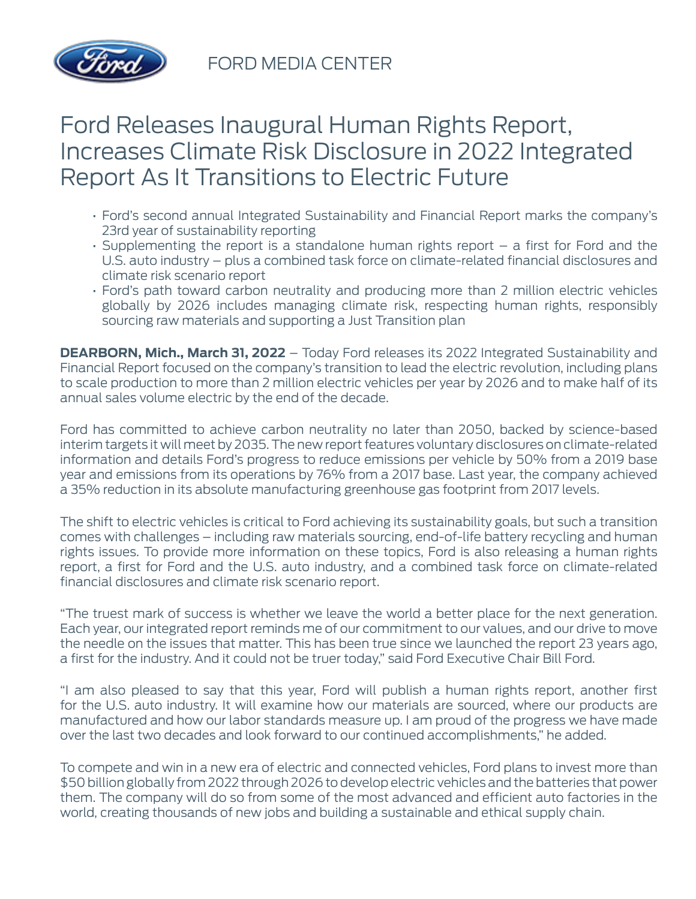

FORD MEDIA CENTER

## Ford Releases Inaugural Human Rights Report, Increases Climate Risk Disclosure in 2022 Integrated Report As It Transitions to Electric Future

- Ford's second annual Integrated Sustainability and Financial Report marks the company's 23rd year of sustainability reporting
- Supplementing the report is a standalone human rights report a first for Ford and the U.S. auto industry – plus a combined task force on climate-related financial disclosures and climate risk scenario report
- Ford's path toward carbon neutrality and producing more than 2 million electric vehicles globally by 2026 includes managing climate risk, respecting human rights, responsibly sourcing raw materials and supporting a Just Transition plan

**DEARBORN, Mich., March 31, 2022** – Today Ford releases its 2022 Integrated Sustainability and Financial Report focused on the company's transition to lead the electric revolution, including plans to scale production to more than 2 million electric vehicles per year by 2026 and to make half of its annual sales volume electric by the end of the decade.

Ford has committed to achieve carbon neutrality no later than 2050, backed by science-based interim targets it will meet by 2035. The new report features voluntary disclosures on climate-related information and details Ford's progress to reduce emissions per vehicle by 50% from a 2019 base year and emissions from its operations by 76% from a 2017 base. Last year, the company achieved a 35% reduction in its absolute manufacturing greenhouse gas footprint from 2017 levels.

The shift to electric vehicles is critical to Ford achieving its sustainability goals, but such a transition comes with challenges – including raw materials sourcing, end-of-life battery recycling and human rights issues. To provide more information on these topics, Ford is also releasing a human rights report, a first for Ford and the U.S. auto industry, and a combined task force on climate-related financial disclosures and climate risk scenario report.

"The truest mark of success is whether we leave the world a better place for the next generation. Each year, our integrated report reminds me of our commitment to our values, and our drive to move the needle on the issues that matter. This has been true since we launched the report 23 years ago, a first for the industry. And it could not be truer today," said Ford Executive Chair Bill Ford.

"I am also pleased to say that this year, Ford will publish a human rights report, another first for the U.S. auto industry. It will examine how our materials are sourced, where our products are manufactured and how our labor standards measure up. I am proud of the progress we have made over the last two decades and look forward to our continued accomplishments," he added.

To compete and win in a new era of electric and connected vehicles, Ford plans to invest more than \$50 billion globally from 2022 through 2026 to develop electric vehicles and the batteries that power them. The company will do so from some of the most advanced and efficient auto factories in the world, creating thousands of new jobs and building a sustainable and ethical supply chain.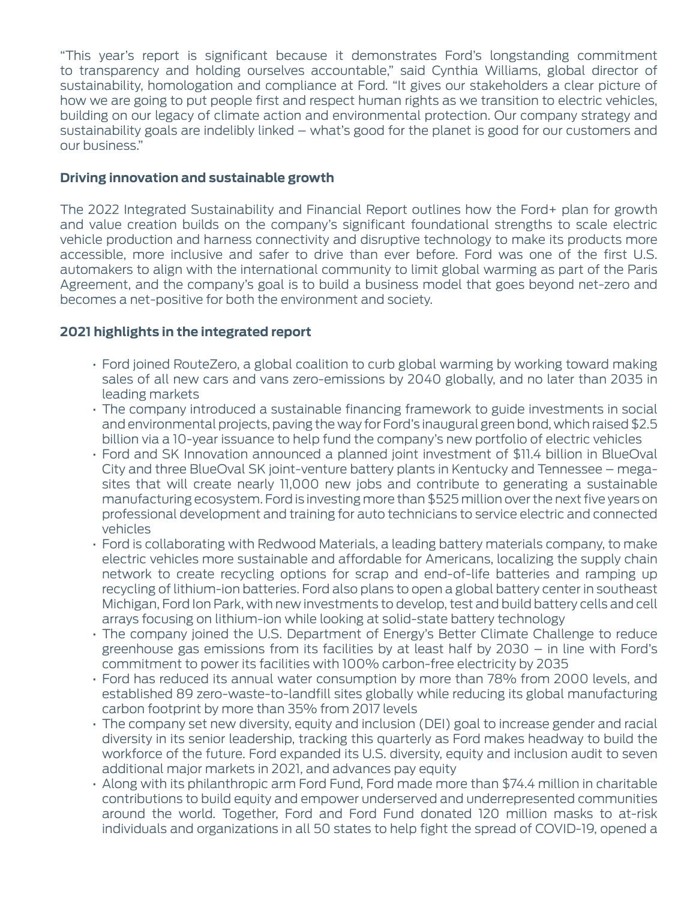"This year's report is significant because it demonstrates Ford's longstanding commitment to transparency and holding ourselves accountable," said Cynthia Williams, global director of sustainability, homologation and compliance at Ford. "It gives our stakeholders a clear picture of how we are going to put people first and respect human rights as we transition to electric vehicles, building on our legacy of climate action and environmental protection. Our company strategy and sustainability goals are indelibly linked – what's good for the planet is good for our customers and our business."

## **Driving innovation and sustainable growth**

The 2022 Integrated Sustainability and Financial Report outlines how the Ford+ plan for growth and value creation builds on the company's significant foundational strengths to scale electric vehicle production and harness connectivity and disruptive technology to make its products more accessible, more inclusive and safer to drive than ever before. Ford was one of the first U.S. automakers to align with the international community to limit global warming as part of the Paris Agreement, and the company's goal is to build a business model that goes beyond net-zero and becomes a net-positive for both the environment and society.

## **2021 highlights in the integrated report**

- Ford joined RouteZero, a global coalition to curb global warming by working toward making sales of all new cars and vans zero-emissions by 2040 globally, and no later than 2035 in leading markets
- The company introduced a sustainable financing framework to guide investments in social and environmental projects, paving the way for Ford's inaugural green bond, which raised \$2.5 billion via a 10-year issuance to help fund the company's new portfolio of electric vehicles
- Ford and SK Innovation announced a planned joint investment of \$11.4 billion in BlueOval City and three BlueOval SK joint-venture battery plants in Kentucky and Tennessee – megasites that will create nearly 11,000 new jobs and contribute to generating a sustainable manufacturing ecosystem. Ford is investing more than \$525 million over the next five years on professional development and training for auto technicians to service electric and connected vehicles
- Ford is collaborating with Redwood Materials, a leading battery materials company, to make electric vehicles more sustainable and affordable for Americans, localizing the supply chain network to create recycling options for scrap and end-of-life batteries and ramping up recycling of lithium-ion batteries. Ford also plans to open a global battery center in southeast Michigan, Ford Ion Park, with new investments to develop, test and build battery cells and cell arrays focusing on lithium-ion while looking at solid-state battery technology
- The company joined the U.S. Department of Energy's Better Climate Challenge to reduce greenhouse gas emissions from its facilities by at least half by 2030 – in line with Ford's commitment to power its facilities with 100% carbon-free electricity by 2035
- Ford has reduced its annual water consumption by more than 78% from 2000 levels, and established 89 zero-waste-to-landfill sites globally while reducing its global manufacturing carbon footprint by more than 35% from 2017 levels
- The company set new diversity, equity and inclusion (DEI) goal to increase gender and racial diversity in its senior leadership, tracking this quarterly as Ford makes headway to build the workforce of the future. Ford expanded its U.S. diversity, equity and inclusion audit to seven additional major markets in 2021, and advances pay equity
- Along with its philanthropic arm Ford Fund, Ford made more than \$74.4 million in charitable contributions to build equity and empower underserved and underrepresented communities around the world. Together, Ford and Ford Fund donated 120 million masks to at-risk individuals and organizations in all 50 states to help fight the spread of COVID-19, opened a